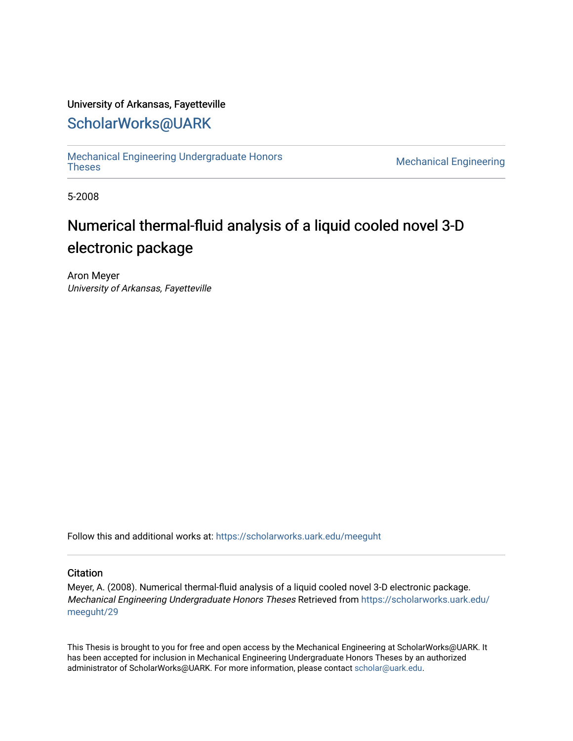### University of Arkansas, Fayetteville

## [ScholarWorks@UARK](https://scholarworks.uark.edu/)

[Mechanical Engineering Undergraduate Honors](https://scholarworks.uark.edu/meeguht)

**Mechanical Engineering** 

5-2008

# Numerical thermal-fluid analysis of a liquid cooled novel 3-D electronic package

Aron Meyer University of Arkansas, Fayetteville

Follow this and additional works at: [https://scholarworks.uark.edu/meeguht](https://scholarworks.uark.edu/meeguht?utm_source=scholarworks.uark.edu%2Fmeeguht%2F29&utm_medium=PDF&utm_campaign=PDFCoverPages) 

### **Citation**

Meyer, A. (2008). Numerical thermal-fluid analysis of a liquid cooled novel 3-D electronic package. Mechanical Engineering Undergraduate Honors Theses Retrieved from [https://scholarworks.uark.edu/](https://scholarworks.uark.edu/meeguht/29?utm_source=scholarworks.uark.edu%2Fmeeguht%2F29&utm_medium=PDF&utm_campaign=PDFCoverPages) [meeguht/29](https://scholarworks.uark.edu/meeguht/29?utm_source=scholarworks.uark.edu%2Fmeeguht%2F29&utm_medium=PDF&utm_campaign=PDFCoverPages) 

This Thesis is brought to you for free and open access by the Mechanical Engineering at ScholarWorks@UARK. It has been accepted for inclusion in Mechanical Engineering Undergraduate Honors Theses by an authorized administrator of ScholarWorks@UARK. For more information, please contact [scholar@uark.edu](mailto:scholar@uark.edu).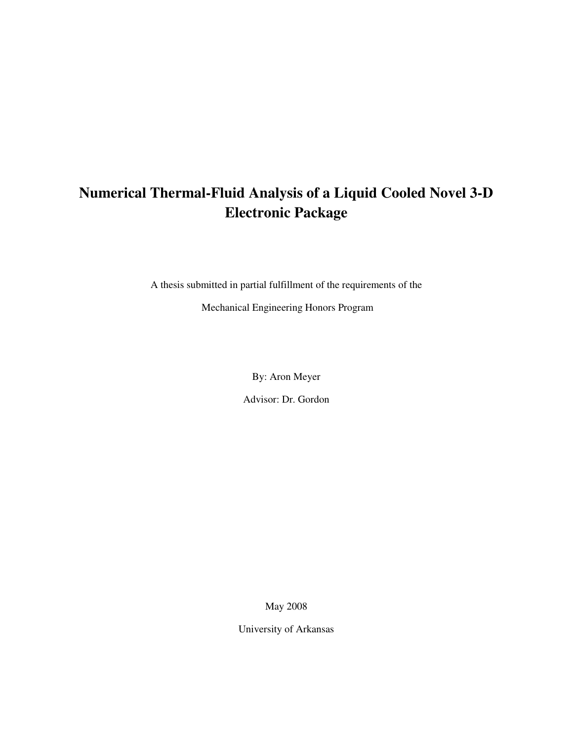## **Numerical Thermal-Fluid Analysis of a Liquid Cooled Novel 3-D Electronic Package**

A thesis submitted in partial fulfillment of the requirements of the

Mechanical Engineering Honors Program

By: Aron Meyer

Advisor: Dr. Gordon

May 2008

University of Arkansas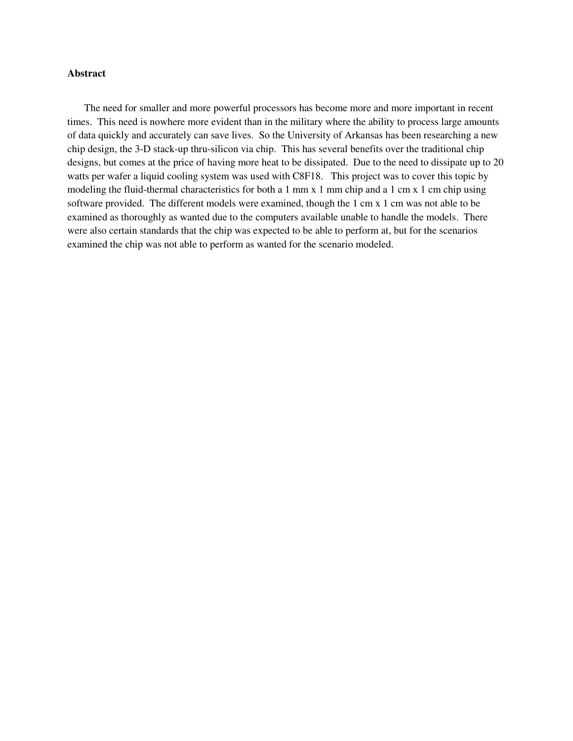#### **Abstract**

The need for smaller and more powerful processors has become more and more important in recent times. This need is nowhere more evident than in the military where the ability to process large amounts of data quickly and accurately can save lives. So the University of Arkansas has been researching a new chip design, the 3-D stack-up thru-silicon via chip. This has several benefits over the traditional chip designs, but comes at the price of having more heat to be dissipated. Due to the need to dissipate up to 20 watts per wafer a liquid cooling system was used with C8F18. This project was to cover this topic by modeling the fluid-thermal characteristics for both a 1 mm x 1 mm chip and a 1 cm x 1 cm chip using software provided. The different models were examined, though the 1 cm x 1 cm was not able to be examined as thoroughly as wanted due to the computers available unable to handle the models. There were also certain standards that the chip was expected to be able to perform at, but for the scenarios examined the chip was not able to perform as wanted for the scenario modeled.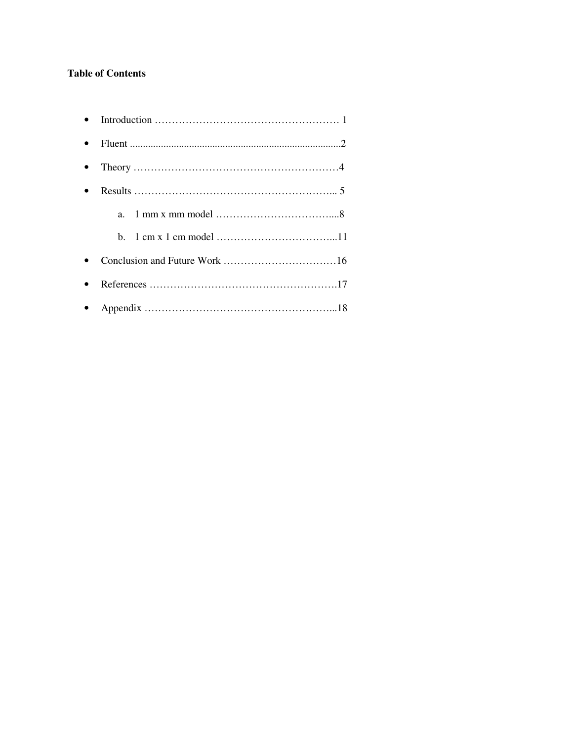### **Table of Contents**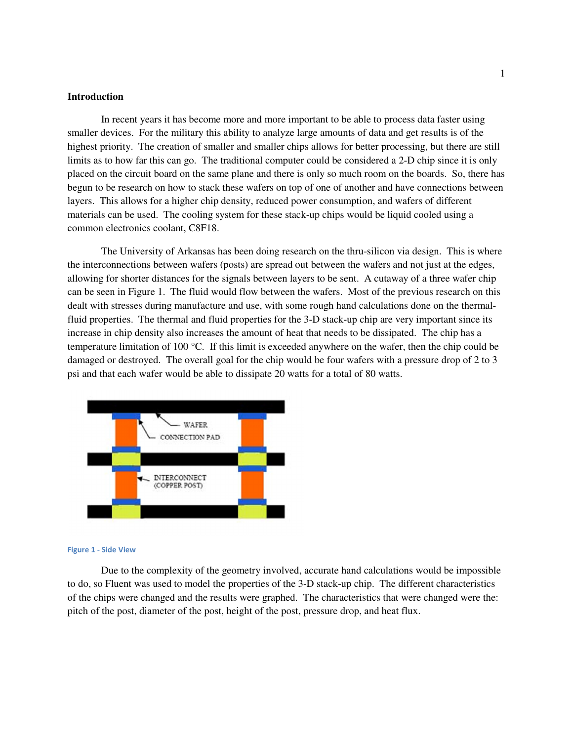#### **Introduction**

 In recent years it has become more and more important to be able to process data faster using smaller devices. For the military this ability to analyze large amounts of data and get results is of the highest priority. The creation of smaller and smaller chips allows for better processing, but there are still limits as to how far this can go. The traditional computer could be considered a 2-D chip since it is only placed on the circuit board on the same plane and there is only so much room on the boards. So, there has begun to be research on how to stack these wafers on top of one of another and have connections between layers. This allows for a higher chip density, reduced power consumption, and wafers of different materials can be used. The cooling system for these stack-up chips would be liquid cooled using a common electronics coolant, C8F18.

 The University of Arkansas has been doing research on the thru-silicon via design. This is where the interconnections between wafers (posts) are spread out between the wafers and not just at the edges, allowing for shorter distances for the signals between layers to be sent. A cutaway of a three wafer chip can be seen in Figure 1. The fluid would flow between the wafers. Most of the previous research on this dealt with stresses during manufacture and use, with some rough hand calculations done on the thermalfluid properties. The thermal and fluid properties for the 3-D stack-up chip are very important since its increase in chip density also increases the amount of heat that needs to be dissipated. The chip has a temperature limitation of 100 °C. If this limit is exceeded anywhere on the wafer, then the chip could be damaged or destroyed. The overall goal for the chip would be four wafers with a pressure drop of 2 to 3 psi and that each wafer would be able to dissipate 20 watts for a total of 80 watts.



#### Figure 1 - Side View

 Due to the complexity of the geometry involved, accurate hand calculations would be impossible to do, so Fluent was used to model the properties of the 3-D stack-up chip. The different characteristics of the chips were changed and the results were graphed. The characteristics that were changed were the: pitch of the post, diameter of the post, height of the post, pressure drop, and heat flux.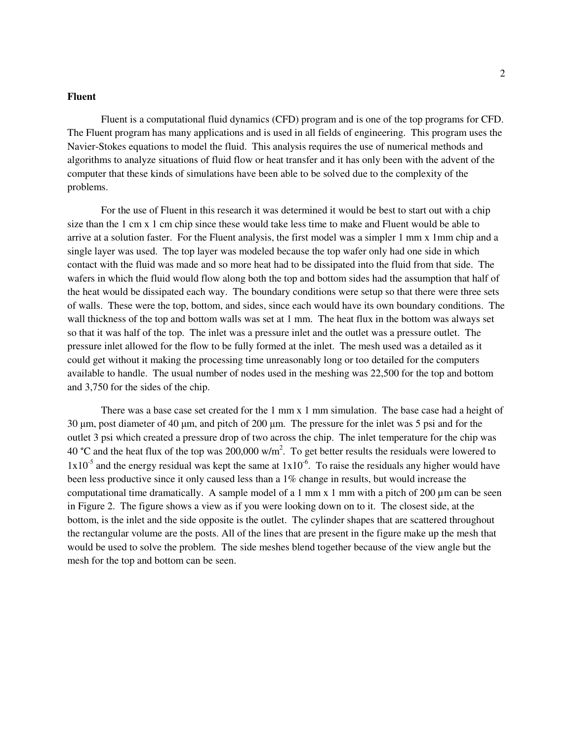#### **Fluent**

 Fluent is a computational fluid dynamics (CFD) program and is one of the top programs for CFD. The Fluent program has many applications and is used in all fields of engineering. This program uses the Navier-Stokes equations to model the fluid. This analysis requires the use of numerical methods and algorithms to analyze situations of fluid flow or heat transfer and it has only been with the advent of the computer that these kinds of simulations have been able to be solved due to the complexity of the problems.

 For the use of Fluent in this research it was determined it would be best to start out with a chip size than the 1 cm x 1 cm chip since these would take less time to make and Fluent would be able to arrive at a solution faster. For the Fluent analysis, the first model was a simpler 1 mm x 1mm chip and a single layer was used. The top layer was modeled because the top wafer only had one side in which contact with the fluid was made and so more heat had to be dissipated into the fluid from that side. The wafers in which the fluid would flow along both the top and bottom sides had the assumption that half of the heat would be dissipated each way. The boundary conditions were setup so that there were three sets of walls. These were the top, bottom, and sides, since each would have its own boundary conditions. The wall thickness of the top and bottom walls was set at 1 mm. The heat flux in the bottom was always set so that it was half of the top. The inlet was a pressure inlet and the outlet was a pressure outlet. The pressure inlet allowed for the flow to be fully formed at the inlet. The mesh used was a detailed as it could get without it making the processing time unreasonably long or too detailed for the computers available to handle. The usual number of nodes used in the meshing was 22,500 for the top and bottom and 3,750 for the sides of the chip.

There was a base case set created for the 1 mm x 1 mm simulation. The base case had a height of 30 µm, post diameter of 40 µm, and pitch of 200 µm. The pressure for the inlet was 5 psi and for the outlet 3 psi which created a pressure drop of two across the chip. The inlet temperature for the chip was 40 °C and the heat flux of the top was 200,000 w/m<sup>2</sup>. To get better results the residuals were lowered to  $1x10^{-5}$  and the energy residual was kept the same at  $1x10^{-6}$ . To raise the residuals any higher would have been less productive since it only caused less than a 1% change in results, but would increase the computational time dramatically. A sample model of a 1 mm x 1 mm with a pitch of 200  $\mu$ m can be seen in Figure 2. The figure shows a view as if you were looking down on to it. The closest side, at the bottom, is the inlet and the side opposite is the outlet. The cylinder shapes that are scattered throughout the rectangular volume are the posts. All of the lines that are present in the figure make up the mesh that would be used to solve the problem. The side meshes blend together because of the view angle but the mesh for the top and bottom can be seen.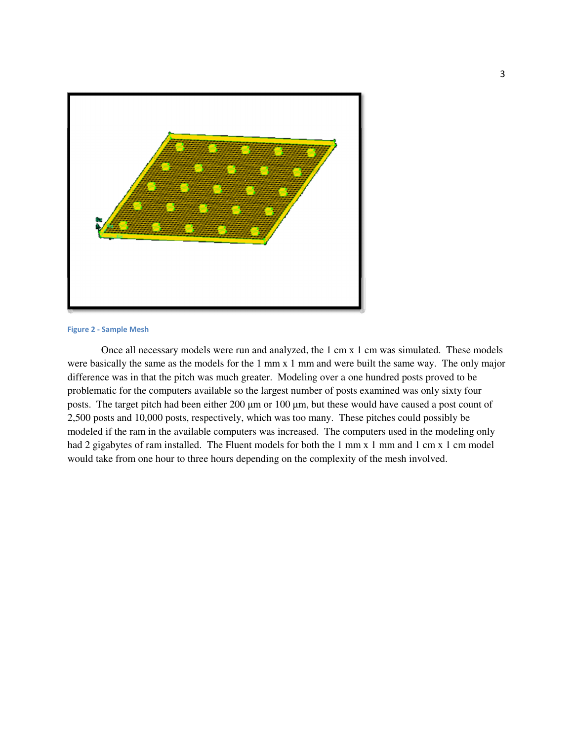

#### Figure 2 - Sample Mesh

Once all necessary models were run and analyzed, the 1 cm x 1 cm was simulated. These models were basically the same as the models for the 1 mm x 1 mm and were built the same way. The only major difference was in that the pitch was much greater. Modeling over a one hundred posts proved to be problematic for the computers available so the largest number of posts examined was only sixty four posts. The target pitch had been either 200 µm or 100 µm, but these would have caused a post count of 2,500 posts and 10,000 posts, respectively, which was too many. These pitches could possibly be modeled if the ram in the available computers was increased. The computers used in the modeling only had 2 gigabytes of ram installed. The Fluent models for both the 1 mm x 1 mm and 1 cm x 1 cm model would take from one hour to three hours depending on the complexity of the mesh involved.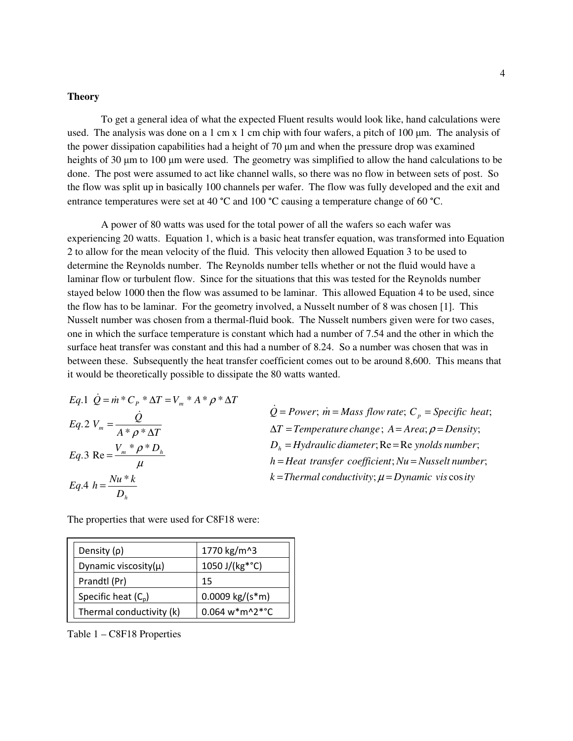#### **Theory**

 To get a general idea of what the expected Fluent results would look like, hand calculations were used. The analysis was done on a 1 cm x 1 cm chip with four wafers, a pitch of 100  $\mu$ m. The analysis of the power dissipation capabilities had a height of  $70 \mu m$  and when the pressure drop was examined heights of 30  $\mu$ m to 100  $\mu$ m were used. The geometry was simplified to allow the hand calculations to be done. The post were assumed to act like channel walls, so there was no flow in between sets of post. So the flow was split up in basically 100 channels per wafer. The flow was fully developed and the exit and entrance temperatures were set at 40 °C and 100 °C causing a temperature change of 60 °C.

 A power of 80 watts was used for the total power of all the wafers so each wafer was experiencing 20 watts. Equation 1, which is a basic heat transfer equation, was transformed into Equation 2 to allow for the mean velocity of the fluid. This velocity then allowed Equation 3 to be used to determine the Reynolds number. The Reynolds number tells whether or not the fluid would have a laminar flow or turbulent flow. Since for the situations that this was tested for the Reynolds number stayed below 1000 then the flow was assumed to be laminar. This allowed Equation 4 to be used, since the flow has to be laminar. For the geometry involved, a Nusselt number of 8 was chosen [1]. This Nusselt number was chosen from a thermal-fluid book. The Nusselt numbers given were for two cases, one in which the surface temperature is constant which had a number of 7.54 and the other in which the surface heat transfer was constant and this had a number of 8.24. So a number was chosen that was in between these. Subsequently the heat transfer coefficient comes out to be around 8,600. This means that it would be theoretically possible to dissipate the 80 watts wanted.

$$
Eq.1 \quad \dot{Q} = \dot{m} \,^* C_p \,^* \Delta T = V_m \,^* A \,^* \rho \,^* \Delta T
$$
\n
$$
Eq.2 \quad V_m = \frac{\dot{Q}}{A \,^* \rho \,^* \Delta T}
$$
\n
$$
Eq.3 \quad \text{Re} = \frac{V_m \,^* \rho \,^* D_h}{\mu}
$$
\n
$$
Eq.4 \quad h = \frac{Nu \,^* k}{D_h}
$$

 $k =$ Thermal conductivity;  $\mu = D$ ynamic vis cos ity  $h$  *Heat transfer coefficient*; *Nu* = *Nusselt number*;  $D_h$  = Hydraulic diameter; Re = Re ynolds number;  $\Delta T$  = Temperature change;  $A = Area$ ;  $\rho = Density$ ;  $\dot{Q} = Power$ ;  $\dot{m} = Mass$  *flow rate*;  $C_p = Specific$  *heat*;

The properties that were used for C8F18 were:

| Density $(\rho)$          | 1770 kg/m^3        |
|---------------------------|--------------------|
| Dynamic viscosity $(\mu)$ | 1050 J/(kg*°C)     |
| Prandtl (Pr)              | 15                 |
| Specific heat $(C_n)$     | $0.0009 kg/(s*m)$  |
| Thermal conductivity (k)  | $0.064 w* m^2*$ °C |

Table 1 – C8F18 Properties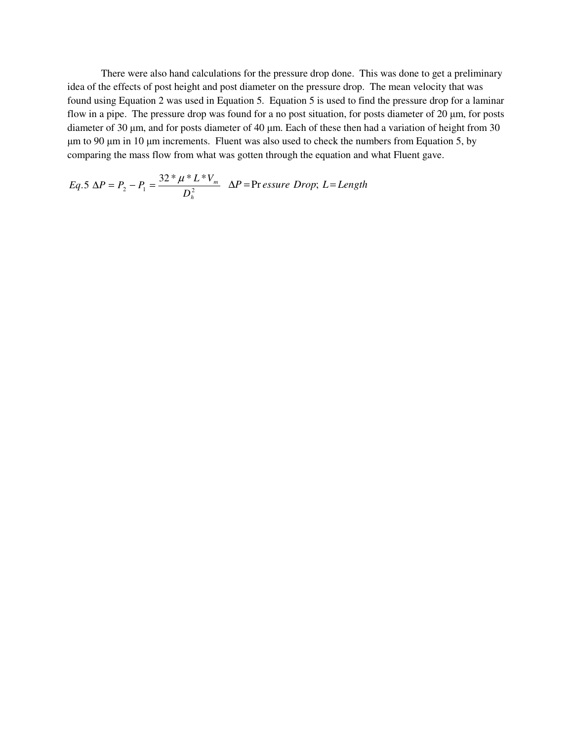There were also hand calculations for the pressure drop done. This was done to get a preliminary idea of the effects of post height and post diameter on the pressure drop. The mean velocity that was found using Equation 2 was used in Equation 5. Equation 5 is used to find the pressure drop for a laminar flow in a pipe. The pressure drop was found for a no post situation, for posts diameter of 20  $\mu$ m, for posts diameter of 30  $\mu$ m, and for posts diameter of 40  $\mu$ m. Each of these then had a variation of height from 30 µm to 90 µm in 10 µm increments. Fluent was also used to check the numbers from Equation 5, by comparing the mass flow from what was gotten through the equation and what Fluent gave.

$$
Eq.5 \ \Delta P = P_2 - P_1 = \frac{32 * \mu * L * V_m}{D_h^2} \quad \Delta P = \text{Pr} \, \text{essure Drop}; \ L = \text{Length}
$$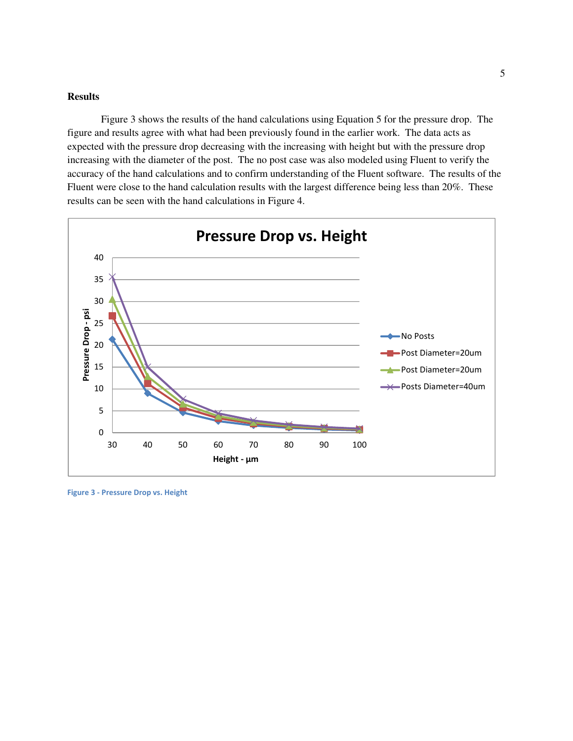#### **Results**

Figure 3 shows the results of the hand calculations using Equation 5 for the pressure drop. The figure and results agree with what had been previously found in the earlier work. The data acts as expected with the pressure drop decreasing with the increasing with height but with the pressure drop increasing with the diameter of the post. The no post case was also modeled using Fluent to verify the accuracy of the hand calculations and to confirm understanding of the Fluent software. The results of the Fluent were close to the hand calculation results with the largest difference being less than 20%. These results can be seen with the hand calculations in Figure 4.



Figure 3 - Pressure Drop vs. Height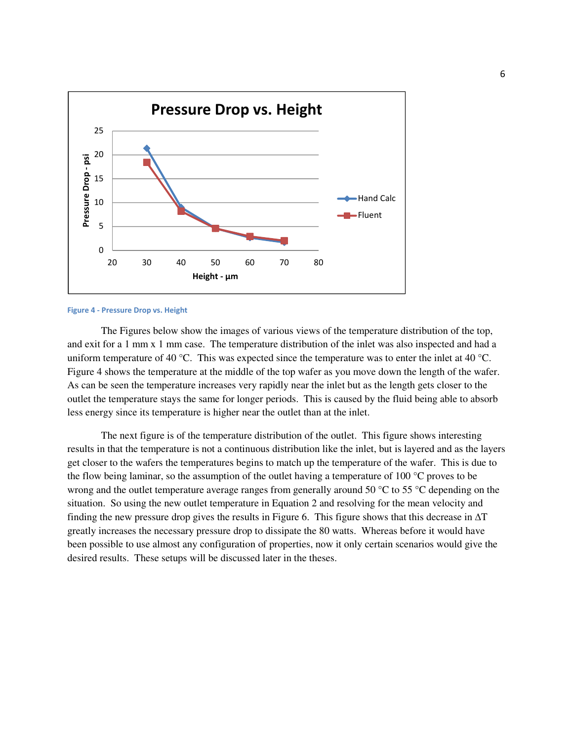

#### Figure 4 - Pressure Drop vs. Height

The Figures below show the images of various views of the temperature distribution of the top, and exit for a 1 mm x 1 mm case. The temperature distribution of the inlet was also inspected and had a uniform temperature of 40 °C. This was expected since the temperature was to enter the inlet at 40 °C. Figure 4 shows the temperature at the middle of the top wafer as you move down the length of the wafer. As can be seen the temperature increases very rapidly near the inlet but as the length gets closer to the outlet the temperature stays the same for longer periods. This is caused by the fluid being able to absorb less energy since its temperature is higher near the outlet than at the inlet.

The next figure is of the temperature distribution of the outlet. This figure shows interesting results in that the temperature is not a continuous distribution like the inlet, but is layered and as the layers get closer to the wafers the temperatures begins to match up the temperature of the wafer. This is due to the flow being laminar, so the assumption of the outlet having a temperature of 100 °C proves to be wrong and the outlet temperature average ranges from generally around 50 °C to 55 °C depending on the situation. So using the new outlet temperature in Equation 2 and resolving for the mean velocity and finding the new pressure drop gives the results in Figure 6. This figure shows that this decrease in  $\Delta T$ greatly increases the necessary pressure drop to dissipate the 80 watts. Whereas before it would have been possible to use almost any configuration of properties, now it only certain scenarios would give the desired results. These setups will be discussed later in the theses.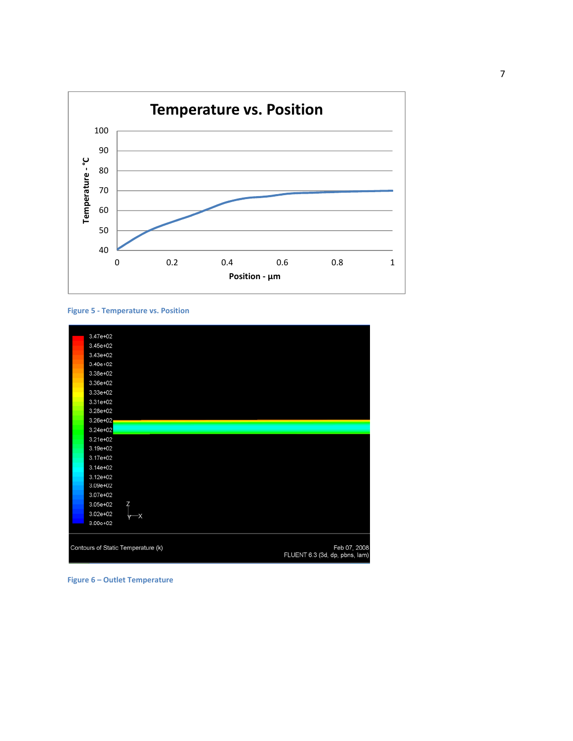

#### Figure 5 - Temperature vs. Position



Figure 6 – Outlet Temperature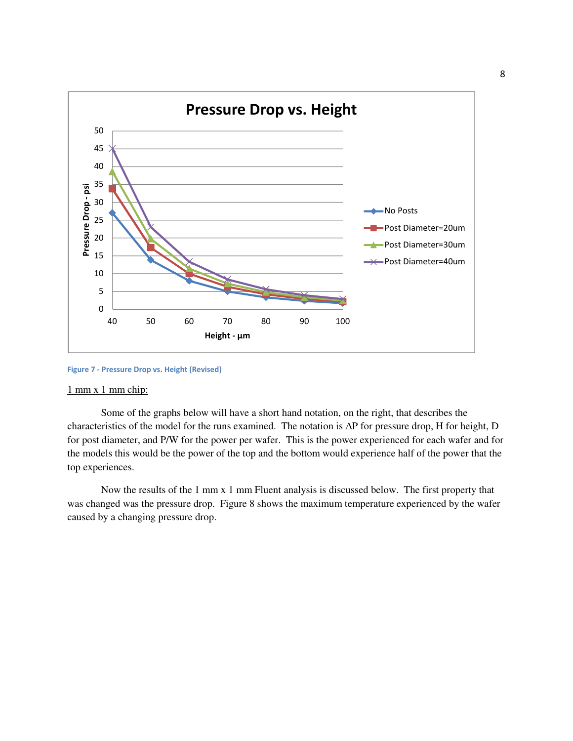

Figure 7 - Pressure Drop vs. Height (Revised)

#### 1 mm x 1 mm chip:

Some of the graphs below will have a short hand notation, on the right, that describes the characteristics of the model for the runs examined. The notation is ∆P for pressure drop, H for height, D for post diameter, and P/W for the power per wafer. This is the power experienced for each wafer and for the models this would be the power of the top and the bottom would experience half of the power that the top experiences.

Now the results of the 1 mm x 1 mm Fluent analysis is discussed below. The first property that was changed was the pressure drop. Figure 8 shows the maximum temperature experienced by the wafer caused by a changing pressure drop.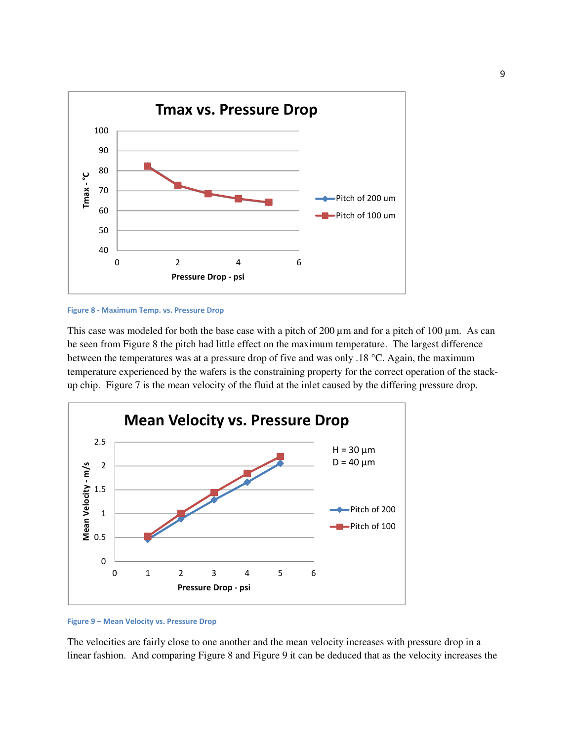

#### Figure 8 - Maximum Temp. vs. Pressure Drop

This case was modeled for both the base case with a pitch of 200  $\mu$ m and for a pitch of 100  $\mu$ m. As can be seen from Figure 8 the pitch had little effect on the maximum temperature. The largest difference between the temperatures was at a pressure drop of five and was only .18 °C. Again, the maximum temperature experienced by the wafers is the constraining property for the correct operation of the stackup chip. Figure 7 is the mean velocity of the fluid at the inlet caused by the differing pressure drop.



#### Figure 9 – Mean Velocity vs. Pressure Drop

The velocities are fairly close to one another and the mean velocity increases with pressure drop in a linear fashion. And comparing Figure 8 and Figure 9 it can be deduced that as the velocity increases the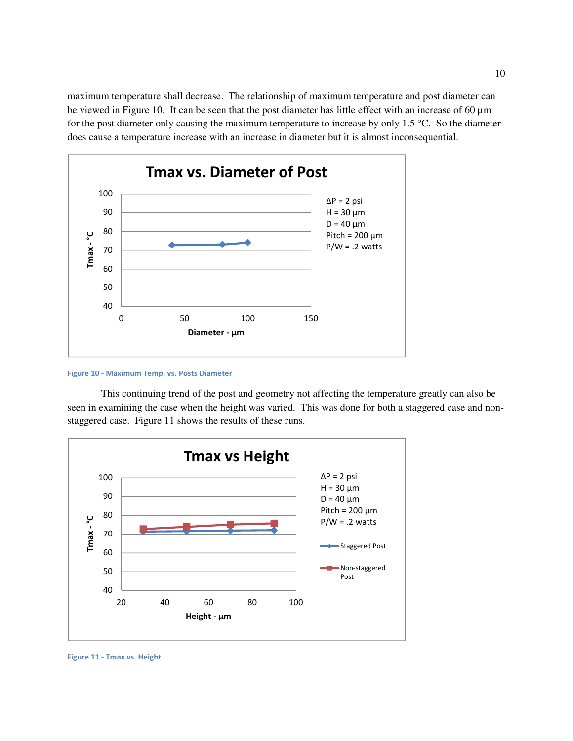maximum temperature shall decrease. The relationship of maximum temperature and post diameter can be viewed in Figure 10. It can be seen that the post diameter has little effect with an increase of 60 µm for the post diameter only causing the maximum temperature to increase by only 1.5 °C. So the diameter does cause a temperature increase with an increase in diameter but it is almost inconsequential.



Figure 10 - Maximum Temp. vs. Posts Diameter

 This continuing trend of the post and geometry not affecting the temperature greatly can also be seen in examining the case when the height was varied. This was done for both a staggered case and nonstaggered case. Figure 11 shows the results of these runs.



Figure 11 - Tmax vs. Height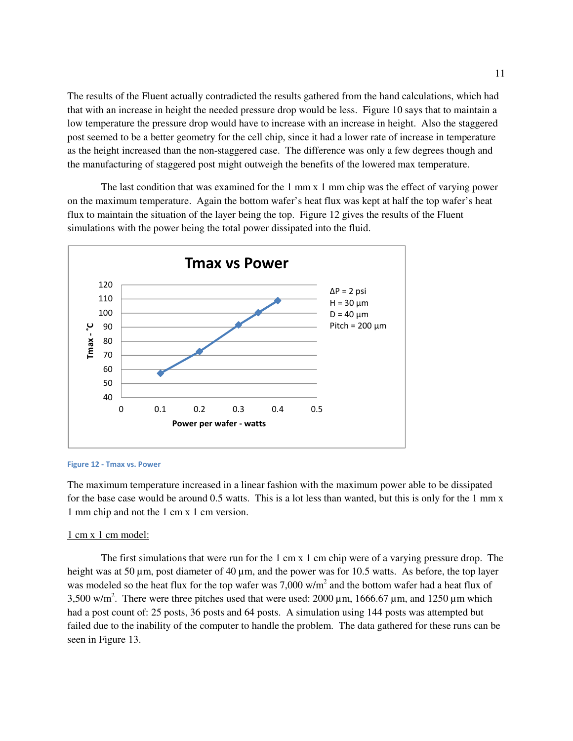The results of the Fluent actually contradicted the results gathered from the hand calculations, which had that with an increase in height the needed pressure drop would be less. Figure 10 says that to maintain a low temperature the pressure drop would have to increase with an increase in height. Also the staggered post seemed to be a better geometry for the cell chip, since it had a lower rate of increase in temperature as the height increased than the non-staggered case. The difference was only a few degrees though and the manufacturing of staggered post might outweigh the benefits of the lowered max temperature.

The last condition that was examined for the 1 mm x 1 mm chip was the effect of varying power on the maximum temperature. Again the bottom wafer's heat flux was kept at half the top wafer's heat flux to maintain the situation of the layer being the top. Figure 12 gives the results of the Fluent simulations with the power being the total power dissipated into the fluid.



#### Figure 12 - Tmax vs. Power

The maximum temperature increased in a linear fashion with the maximum power able to be dissipated for the base case would be around 0.5 watts. This is a lot less than wanted, but this is only for the 1 mm x 1 mm chip and not the 1 cm x 1 cm version.

#### 1 cm x 1 cm model:

The first simulations that were run for the 1 cm x 1 cm chip were of a varying pressure drop. The height was at 50 µm, post diameter of 40 µm, and the power was for 10.5 watts. As before, the top layer was modeled so the heat flux for the top wafer was 7,000 w/m<sup>2</sup> and the bottom wafer had a heat flux of 3,500 w/m<sup>2</sup>. There were three pitches used that were used:  $2000 \mu m$ ,  $1666.67 \mu m$ , and  $1250 \mu m$  which had a post count of: 25 posts, 36 posts and 64 posts. A simulation using 144 posts was attempted but failed due to the inability of the computer to handle the problem. The data gathered for these runs can be seen in Figure 13.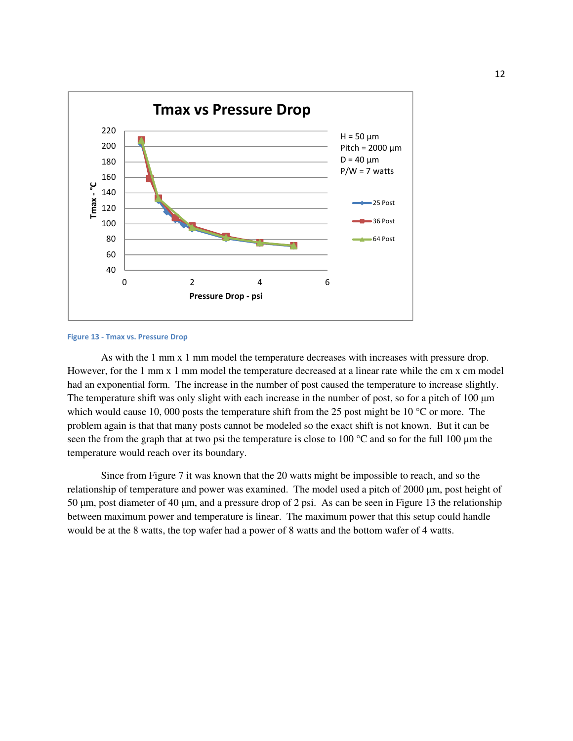

Figure 13 - Tmax vs. Pressure Drop

As with the 1 mm x 1 mm model the temperature decreases with increases with pressure drop. However, for the 1 mm x 1 mm model the temperature decreased at a linear rate while the cm x cm model had an exponential form. The increase in the number of post caused the temperature to increase slightly. The temperature shift was only slight with each increase in the number of post, so for a pitch of 100  $\mu$ m which would cause 10, 000 posts the temperature shift from the 25 post might be 10 °C or more. The problem again is that that many posts cannot be modeled so the exact shift is not known. But it can be seen the from the graph that at two psi the temperature is close to 100  $^{\circ}$ C and so for the full 100  $\mu$ m the temperature would reach over its boundary.

Since from Figure 7 it was known that the 20 watts might be impossible to reach, and so the relationship of temperature and power was examined. The model used a pitch of 2000 µm, post height of 50 µm, post diameter of 40 µm, and a pressure drop of 2 psi. As can be seen in Figure 13 the relationship between maximum power and temperature is linear. The maximum power that this setup could handle would be at the 8 watts, the top wafer had a power of 8 watts and the bottom wafer of 4 watts.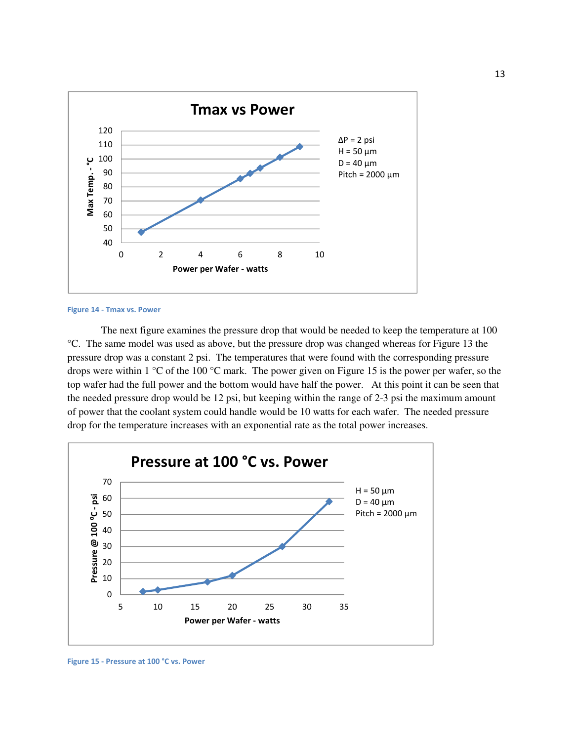

Figure 14 - Tmax vs. Power

 The next figure examines the pressure drop that would be needed to keep the temperature at 100 °C. The same model was used as above, but the pressure drop was changed whereas for Figure 13 the pressure drop was a constant 2 psi. The temperatures that were found with the corresponding pressure drops were within 1 °C of the 100 °C mark. The power given on Figure 15 is the power per wafer, so the top wafer had the full power and the bottom would have half the power. At this point it can be seen that the needed pressure drop would be 12 psi, but keeping within the range of 2-3 psi the maximum amount of power that the coolant system could handle would be 10 watts for each wafer. The needed pressure drop for the temperature increases with an exponential rate as the total power increases.



Figure 15 - Pressure at 100 °C vs. Power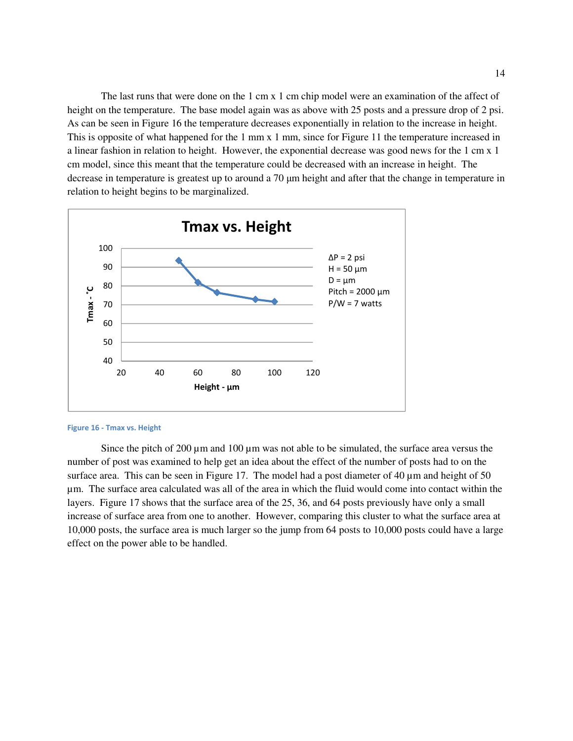The last runs that were done on the 1 cm x 1 cm chip model were an examination of the affect of height on the temperature. The base model again was as above with 25 posts and a pressure drop of 2 psi. As can be seen in Figure 16 the temperature decreases exponentially in relation to the increase in height. This is opposite of what happened for the 1 mm x 1 mm, since for Figure 11 the temperature increased in a linear fashion in relation to height. However, the exponential decrease was good news for the 1 cm x 1 cm model, since this meant that the temperature could be decreased with an increase in height. The decrease in temperature is greatest up to around a 70 µm height and after that the change in temperature in relation to height begins to be marginalized.



#### Figure 16 - Tmax vs. Height

Since the pitch of 200  $\mu$ m and 100  $\mu$ m was not able to be simulated, the surface area versus the number of post was examined to help get an idea about the effect of the number of posts had to on the surface area. This can be seen in Figure 17. The model had a post diameter of 40  $\mu$ m and height of 50 µm. The surface area calculated was all of the area in which the fluid would come into contact within the layers. Figure 17 shows that the surface area of the 25, 36, and 64 posts previously have only a small increase of surface area from one to another. However, comparing this cluster to what the surface area at 10,000 posts, the surface area is much larger so the jump from 64 posts to 10,000 posts could have a large effect on the power able to be handled.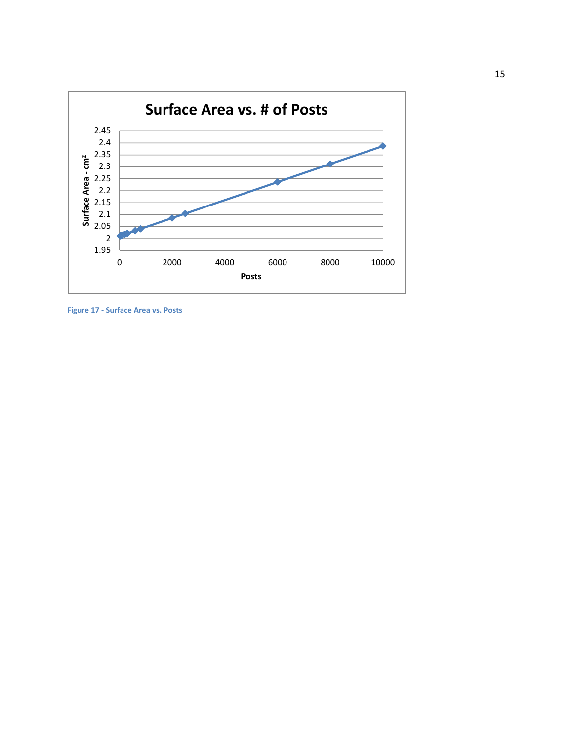

Figure 17 - Surface Area vs. Posts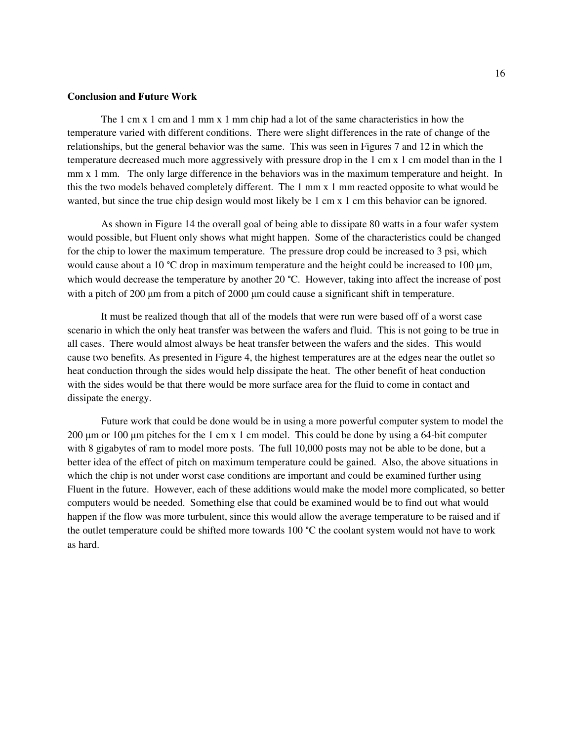#### **Conclusion and Future Work**

 The 1 cm x 1 cm and 1 mm x 1 mm chip had a lot of the same characteristics in how the temperature varied with different conditions. There were slight differences in the rate of change of the relationships, but the general behavior was the same. This was seen in Figures 7 and 12 in which the temperature decreased much more aggressively with pressure drop in the 1 cm x 1 cm model than in the 1 mm x 1 mm. The only large difference in the behaviors was in the maximum temperature and height. In this the two models behaved completely different. The 1 mm x 1 mm reacted opposite to what would be wanted, but since the true chip design would most likely be 1 cm x 1 cm this behavior can be ignored.

 As shown in Figure 14 the overall goal of being able to dissipate 80 watts in a four wafer system would possible, but Fluent only shows what might happen. Some of the characteristics could be changed for the chip to lower the maximum temperature. The pressure drop could be increased to 3 psi, which would cause about a 10 °C drop in maximum temperature and the height could be increased to 100  $\mu$ m, which would decrease the temperature by another 20 °C. However, taking into affect the increase of post with a pitch of 200 µm from a pitch of 2000 µm could cause a significant shift in temperature.

 It must be realized though that all of the models that were run were based off of a worst case scenario in which the only heat transfer was between the wafers and fluid. This is not going to be true in all cases. There would almost always be heat transfer between the wafers and the sides. This would cause two benefits. As presented in Figure 4, the highest temperatures are at the edges near the outlet so heat conduction through the sides would help dissipate the heat. The other benefit of heat conduction with the sides would be that there would be more surface area for the fluid to come in contact and dissipate the energy.

 Future work that could be done would be in using a more powerful computer system to model the 200  $\mu$ m or 100  $\mu$ m pitches for the 1 cm x 1 cm model. This could be done by using a 64-bit computer with 8 gigabytes of ram to model more posts. The full 10,000 posts may not be able to be done, but a better idea of the effect of pitch on maximum temperature could be gained. Also, the above situations in which the chip is not under worst case conditions are important and could be examined further using Fluent in the future. However, each of these additions would make the model more complicated, so better computers would be needed. Something else that could be examined would be to find out what would happen if the flow was more turbulent, since this would allow the average temperature to be raised and if the outlet temperature could be shifted more towards 100 °C the coolant system would not have to work as hard.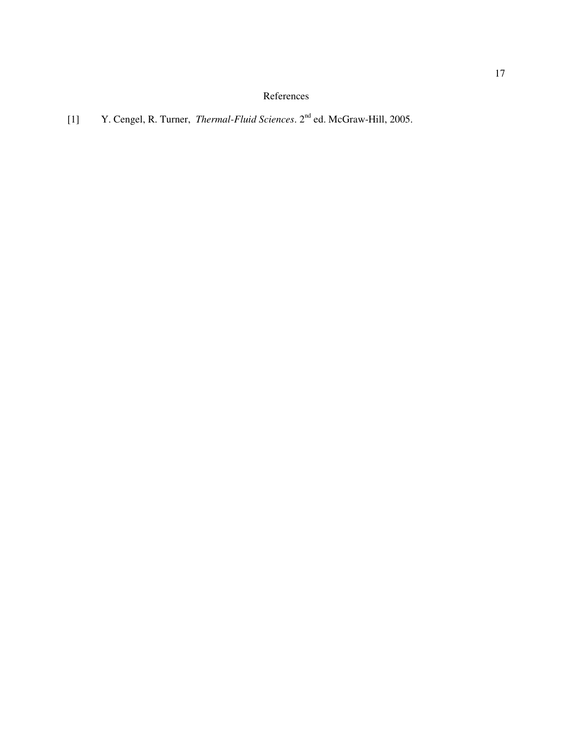## References

# [1] Y. Cengel, R. Turner, *Thermal-Fluid Sciences*. 2nd ed. McGraw-Hill, 2005.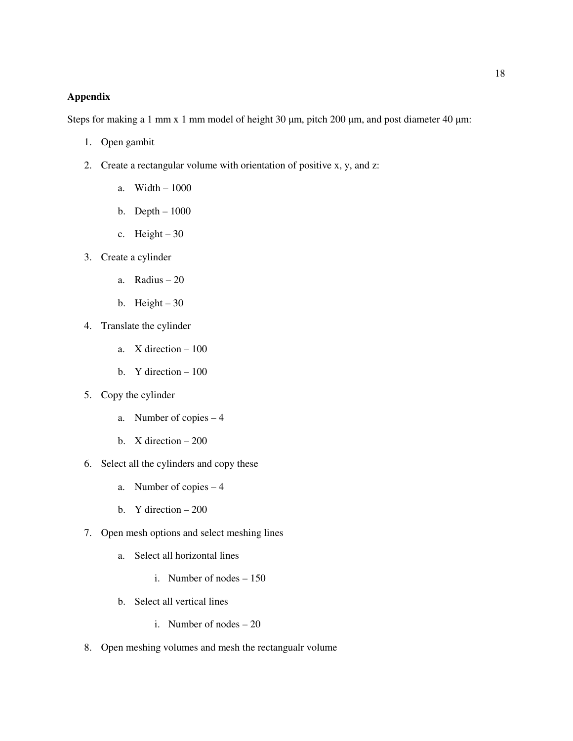#### **Appendix**

Steps for making a 1 mm x 1 mm model of height 30  $\mu$ m, pitch 200  $\mu$ m, and post diameter 40  $\mu$ m:

- 1. Open gambit
- 2. Create a rectangular volume with orientation of positive x, y, and z:
	- a. Width 1000
	- b. Depth 1000
	- c. Height  $-30$
- 3. Create a cylinder
	- a. Radius 20
	- b. Height  $-30$
- 4. Translate the cylinder
	- a. X direction 100
	- b. Y direction 100
- 5. Copy the cylinder
	- a. Number of copies 4
	- b. X direction 200
- 6. Select all the cylinders and copy these
	- a. Number of copies 4
	- b. Y direction 200
- 7. Open mesh options and select meshing lines
	- a. Select all horizontal lines
		- i. Number of nodes 150
	- b. Select all vertical lines
		- i. Number of nodes 20
- 8. Open meshing volumes and mesh the rectangualr volume